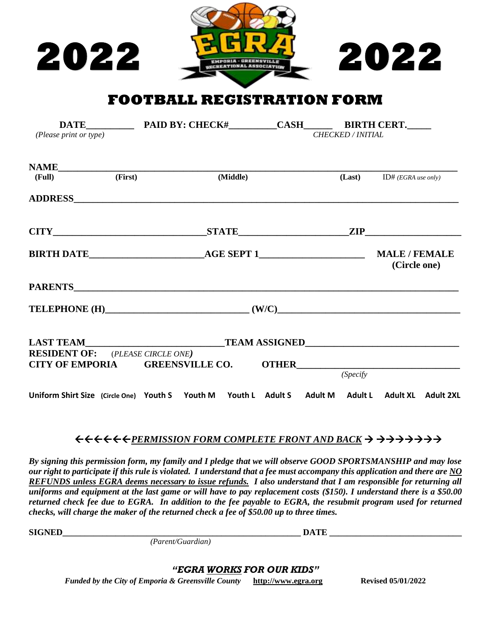



**FOOTBALL REGISTRATION FORM** 

|                                         | DATE PAID BY: CHECK# CASH CERT. CASH CERT. CASH CERT. CASH CERT. CASH CERT. CASH CERT. CASH CERT. CASH CERT. CASH CERT. CASH CERT. CASH CERT. CASH CERT. CASH CERT. CASH |  |                                      |                              |  |
|-----------------------------------------|--------------------------------------------------------------------------------------------------------------------------------------------------------------------------|--|--------------------------------------|------------------------------|--|
| (Please print or type)                  |                                                                                                                                                                          |  | <b>CHECKED / INITIAL</b>             |                              |  |
|                                         |                                                                                                                                                                          |  |                                      |                              |  |
|                                         | NAME<br>(Full) (First) (Middle)                                                                                                                                          |  |                                      | (Last) $ID# (EGRA use only)$ |  |
|                                         |                                                                                                                                                                          |  |                                      |                              |  |
|                                         | $CITY$ 2IP                                                                                                                                                               |  |                                      |                              |  |
|                                         |                                                                                                                                                                          |  | <b>MALE / FEMALE</b><br>(Circle one) |                              |  |
|                                         |                                                                                                                                                                          |  |                                      |                              |  |
|                                         |                                                                                                                                                                          |  |                                      |                              |  |
|                                         |                                                                                                                                                                          |  |                                      |                              |  |
| <b>RESIDENT OF:</b> (PLEASE CIRCLE ONE) |                                                                                                                                                                          |  |                                      |                              |  |
|                                         | CITY OF EMPORIA GREENSVILLE CO. OTHER                                                                                                                                    |  | (Specify)                            |                              |  |
|                                         | Uniform Shirt Size (Circle One) Youth S Youth M Youth L Adult S Adult M Adult L Adult XL Adult 2XL                                                                       |  |                                      |                              |  |

## *PERMISSION FORM COMPLETE FRONT AND BACK*

*By signing this permission form, my family and I pledge that we will observe GOOD SPORTSMANSHIP and may lose our right to participate if this rule is violated. I understand that a fee must accompany this application and there are NO REFUNDS unless EGRA deems necessary to issue refunds. I also understand that I am responsible for returning all uniforms and equipment at the last game or will have to pay replacement costs (\$150). I understand there is a \$50.00 returned check fee due to EGRA. In addition to the fee payable to EGRA, the resubmit program used for returned checks, will charge the maker of the returned check a fee of \$50.00 up to three times.*

 $\blacksquare$  **SIGNED**  $\blacksquare$   $\blacksquare$   $\blacksquare$   $\blacksquare$   $\blacksquare$   $\blacksquare$   $\blacksquare$   $\blacksquare$   $\blacksquare$   $\blacksquare$   $\blacksquare$   $\blacksquare$   $\blacksquare$   $\blacksquare$   $\blacksquare$   $\blacksquare$   $\blacksquare$   $\blacksquare$   $\blacksquare$   $\blacksquare$   $\blacksquare$   $\blacksquare$   $\blacksquare$   $\blacksquare$   $\blacksquare$   $\blacksquare$   $\blacksquare$   $\blacksquare$   $\blacksquare$   $\bl$ 

*(Parent/Guardian)*

## *"EGRA WORKS FOR OUR KIDS"*

*Funded by the City of Emporia & Greensville County* **[http://www.egra.org](http://www.egra.org/) Revised 05/01/2022**